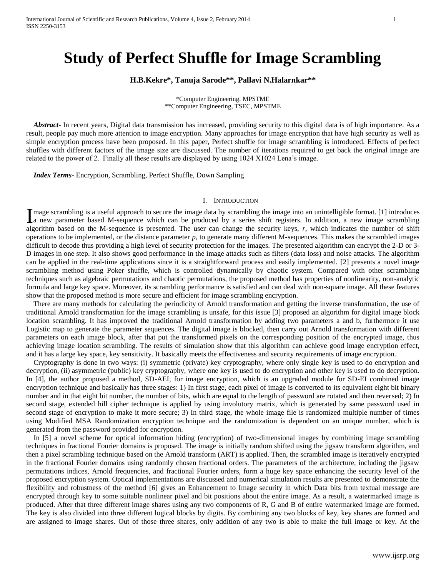# **Study of Perfect Shuffle for Image Scrambling**

## **H.B.Kekre\*, Tanuja Sarode\*\*, Pallavi N.Halarnkar\*\***

\*Computer Engineering, MPSTME \*\*Computer Engineering, TSEC, MPSTME

 *Abstract***-** In recent years, Digital data transmission has increased, providing security to this digital data is of high importance. As a result, people pay much more attention to image encryption. Many approaches for image encryption that have high security as well as simple encryption process have been proposed. In this paper, Perfect shuffle for image scrambling is introduced. Effects of perfect shuffles with different factors of the image size are discussed. The number of iterations required to get back the original image are related to the power of 2. Finally all these results are displayed by using 1024 X1024 Lena's image.

 *Index Terms*- Encryption, Scrambling, Perfect Shuffle, Down Sampling

#### I. INTRODUCTION

mage scrambling is a useful approach to secure the image data by scrambling the image into an unintelligible format. [1] introduces I mage scrambling is a useful approach to secure the image data by scrambling the image into an unintelligible format. [1] introduces a new parameter based M-sequence which can be produced by a series shift registers. In a algorithm based on the M-sequence is presented. The user can change the security keys, *r*, which indicates the number of shift operations to be implemented, or the distance parameter  $p$ , to generate many different M-sequences. This makes the scrambled images difficult to decode thus providing a high level of security protection for the images. The presented algorithm can encrypt the 2-D or 3-D images in one step. It also shows good performance in the image attacks such as filters (data loss) and noise attacks. The algorithm can be applied in the real-time applications since it is a straightforward process and easily implemented. [2] presents a novel image scrambling method using Poker shuffle, which is controlled dynamically by chaotic system. Compared with other scrambling techniques such as algebraic permutations and chaotic permutations, the proposed method has properties of nonlinearity, non-analytic formula and large key space. Moreover, its scrambling performance is satisfied and can deal with non-square image. All these features show that the proposed method is more secure and efficient for image scrambling encryption.

 There are many methods for calculating the periodicity of Arnold transformation and getting the inverse transformation, the use of traditional Arnold transformation for the image scrambling is unsafe, for this issue [3] proposed an algorithm for digital image block location scrambling. It has improved the traditional Arnold transformation by adding two parameters a and b, furthermore it use Logistic map to generate the parameter sequences. The digital image is blocked, then carry out Arnold transformation with different parameters on each image block, after that put the transformed pixels on the corresponding position of the encrypted image, thus achieving image location scrambling. The results of simulation show that this algorithm can achieve good image encryption effect, and it has a large key space, key sensitivity. It basically meets the effectiveness and security requirements of image encryption.

 Cryptography is done in two ways: (i) symmetric (private) key cryptography, where only single key is used to do encryption and decryption, (ii) asymmetric (public) key cryptography, where one key is used to do encryption and other key is used to do decryption. In [4], the author proposed a method, SD-AEI, for image encryption, which is an upgraded module for SD-EI combined image encryption technique and basically has three stages: 1) In first stage, each pixel of image is converted to its equivalent eight bit binary number and in that eight bit number, the number of bits, which are equal to the length of password are rotated and then reversed; 2) In second stage, extended hill cipher technique is applied by using involutory matrix, which is generated by same password used in second stage of encryption to make it more secure; 3) In third stage, the whole image file is randomized multiple number of times using Modified MSA Randomization encryption technique and the randomization is dependent on an unique number, which is generated from the password provided for encryption.

 In [5] a novel scheme for optical information hiding (encryption) of two-dimensional images by combining image scrambling techniques in fractional Fourier domains is proposed. The image is initially random shifted using the jigsaw transform algorithm, and then a pixel scrambling technique based on the Arnold transform (ART) is applied. Then, the scrambled image is iteratively encrypted in the fractional Fourier domains using randomly chosen fractional orders. The parameters of the architecture, including the jigsaw permutations indices, Arnold frequencies, and fractional Fourier orders, form a huge key space enhancing the security level of the proposed encryption system. Optical implementations are discussed and numerical simulation results are presented to demonstrate the flexibility and robustness of the method [6] gives an Enhancement to Image security in which Data bits from textual message are encrypted through key to some suitable nonlinear pixel and bit positions about the entire image. As a result, a watermarked image is produced. After that three different image shares using any two components of R, G and B of entire watermarked image are formed. The key is also divided into three different logical blocks by digits. By combining any two blocks of key, key shares are formed and are assigned to image shares. Out of those three shares, only addition of any two is able to make the full image or key. At the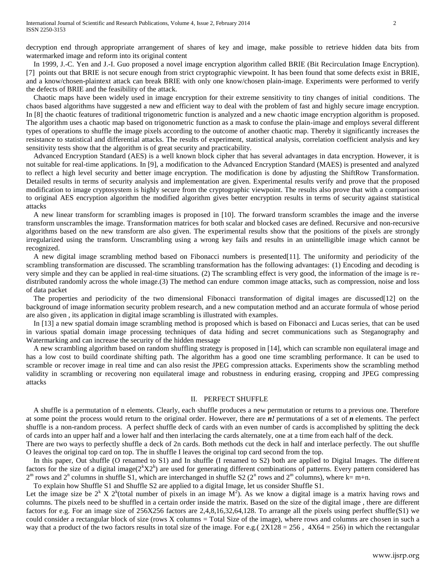decryption end through appropriate arrangement of shares of key and image, make possible to retrieve hidden data bits from watermarked image and reform into its original content

 In 1999, J.-C. Yen and J.-I. Guo proposed a novel image encryption algorithm called BRIE (Bit Recirculation Image Encryption). [7] points out that BRIE is not secure enough from strict cryptographic viewpoint. It has been found that some defects exist in BRIE, and a know/chosen-plaintext attack can break BRIE with only one know/chosen plain-image. Experiments were performed to verify the defects of BRIE and the feasibility of the attack.

 Chaotic maps have been widely used in image encryption for their extreme sensitivity to tiny changes of initial conditions. The chaos based algorithms have suggested a new and efficient way to deal with the problem of fast and highly secure image encryption. In [8] the chaotic features of traditional trigonometric function is analyzed and a new chaotic image encryption algorithm is proposed. The algorithm uses a chaotic map based on trigonometric function as a mask to confuse the plain-image and employs several different types of operations to shuffle the image pixels according to the outcome of another chaotic map. Thereby it significantly increases the resistance to statistical and differential attacks. The results of experiment, statistical analysis, correlation coefficient analysis and key sensitivity tests show that the algorithm is of great security and practicability.

 Advanced Encryption Standard (AES) is a well known block cipher that has several advantages in data encryption. However, it is not suitable for real-time applications. In [9], a modification to the Advanced Encryption Standard (MAES) is presented and analyzed to reflect a high level security and better image encryption. The modification is done by adjusting the ShiftRow Transformation. Detailed results in terms of security analysis and implementation are given. Experimental results verify and prove that the proposed modification to image cryptosystem is highly secure from the cryptographic viewpoint. The results also prove that with a comparison to original AES encryption algorithm the modified algorithm gives better encryption results in terms of security against statistical attacks

 A new linear transform for scrambling images is proposed in [10]. The forward transform scrambles the image and the inverse transform unscrambles the image. Transformation matrices for both scalar and blocked cases are defined. Recursive and non-recursive algorithms based on the new transform are also given. The experimental results show that the positions of the pixels are strongly irregularized using the transform. Unscrambling using a wrong key fails and results in an unintelligible image which cannot be recognized.

 A new digital image scrambling method based on Fibonacci numbers is presented[11]. The uniformity and periodicity of the scrambling transformation are discussed. The scrambling transformation has the following advantages: (1) Encoding and decoding is very simple and they can be applied in real-time situations. (2) The scrambling effect is very good, the information of the image is redistributed randomly across the whole image.(3) The method can endure common image attacks, such as compression, noise and loss of data packet

 The properties and periodicity of the two dimensional Fibonacci transformation of digital images are discussed[12] on the background of image information security problem research, and a new computation method and an accurate formula of whose period are also given , its application in digital image scrambling is illustrated with examples.

 In [13] a new spatial domain image scrambling method is proposed which is based on Fibonacci and Lucas series, that can be used in various spatial domain image processing techniques of data hiding and secret communications such as Steganography and Watermarking and can increase the security of the hidden message

 A new scrambling algorithm based on random shuffling strategy is proposed in [14], which can scramble non equilateral image and has a low cost to build coordinate shifting path. The algorithm has a good one time scrambling performance. It can be used to scramble or recover image in real time and can also resist the JPEG compression attacks. Experiments show the scrambling method validity in scrambling or recovering non equilateral image and robustness in enduring erasing, cropping and JPEG compressing attacks

#### II. PERFECT SHUFFLE

 A shuffle is a permutation of n elements. Clearly, each shuffle produces a new permutation or returns to a previous one. Therefore at some point the process would return to the original order. However, there are *n!* permutations of a set of *n* elements. The perfect shuffle is a non-random process. A perfect shuffle deck of cards with an even number of cards is accomplished by splitting the deck of cards into an upper half and a lower half and then interlacing the cards alternately, one at a time from each half of the deck.

There are two ways to perfectly shuffle a deck of 2n cards. Both methods cut the deck in half and interlace perfectly. The out shuffle O leaves the original top card on top. The in shuffle I leaves the original top card second from the top.

 In this paper, Out shuffle (O renamed to S1) and In shuffle (I renamed to S2) both are applied to Digital Images. The different factors for the size of a digital image $(2^kX2^k)$  are used for generating different combinations of patterns. Every pattern considered has  $2^m$  rows and  $2^n$  columns in shuffle S1, which are interchanged in shuffle S2 ( $2^n$  rows and  $2^m$  columns), where k= m+n.

To explain how Shuffle S1 and Shuffle S2 are applied to a digital Image, let us consider Shuffle S1.

Let the image size be  $2^k$  X  $2^k$ (total number of pixels in an image  $M^2$ ). As we know a digital image is a matrix having rows and columns. The pixels need to be shuffled in a certain order inside the matrix. Based on the size of the digital image , there are different factors for e.g. For an image size of 256X256 factors are 2,4,8,16,32,64,128. To arrange all the pixels using perfect shuffle(S1) we could consider a rectangular block of size (rows X columns = Total Size of the image), where rows and columns are chosen in such a way that a product of the two factors results in total size of the image. For e.g.(  $2X128 = 256$ ,  $4X64 = 256$ ) in which the rectangular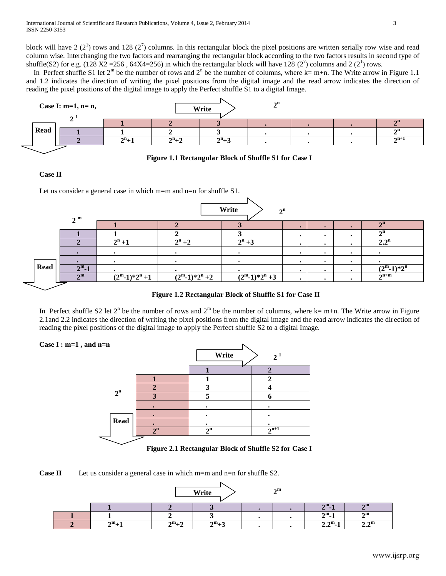block will have 2  $(2^1)$  rows and 128  $(2^7)$  columns. In this rectangular block the pixel positions are written serially row wise and read column wise. Interchanging the two factors and rearranging the rectangular block according to the two factors results in second type of shuffle(S2) for e.g. (128 X2 = 256, 64X4=256) in which the rectangular block will have 128 ( $2^7$ ) columns and 2 ( $2^1$ ) rows.

In Perfect shuffle S1 let  $2^m$  be the number of rows and  $2^n$  be the number of columns, where k= m+n. The Write arrow in Figure 1.1 and 1.2 indicates the direction of writing the pixel positions from the digital image and the read arrow indicates the direction of reading the pixel positions of the digital image to apply the Perfect shuffle S1 to a digital Image.



## **Figure 1.1 Rectangular Block of Shuffle S1 for Case I**

# **Case II**

Let us consider a general case in which m=m and n=n for shuffle S1.

|      | 2 <sup>m</sup> | Write<br>$2^n$  |                  |                              |  |           |           |                       |  |  |  |  |
|------|----------------|-----------------|------------------|------------------------------|--|-----------|-----------|-----------------------|--|--|--|--|
|      |                |                 |                  |                              |  | $\bullet$ |           | $\mathbf{A}$ n        |  |  |  |  |
|      |                |                 |                  |                              |  | $\bullet$ |           | $\mathbf{A}$ n        |  |  |  |  |
|      |                | $2^n + 1$       | $2^n + 2$        | $2^n + 3$                    |  | $\bullet$ |           | 2.2 <sup>n</sup>      |  |  |  |  |
|      |                |                 |                  |                              |  | $\bullet$ | $\bullet$ |                       |  |  |  |  |
|      |                |                 |                  |                              |  | $\bullet$ |           |                       |  |  |  |  |
| Read | $2^m-1$        |                 |                  |                              |  | $\bullet$ |           | $(2^m-1)*2^n$         |  |  |  |  |
|      | $\gamma$ m     | $(2^m-1)*2^n+1$ | $(2^m-1)*2^n +2$ | $\sqrt{(2^m-1)}$ * $2^n + 3$ |  | ٠         |           | $\mathbf{\Delta}$ n+m |  |  |  |  |

# **Figure 1.2 Rectangular Block of Shuffle S1 for Case II**

In Perfect shuffle S2 let  $2^n$  be the number of rows and  $2^m$  be the number of columns, where k= m+n. The Write arrow in Figure 2.1and 2.2 indicates the direction of writing the pixel positions from the digital image and the read arrow indicates the direction of reading the pixel positions of the digital image to apply the Perfect shuffle S2 to a digital Image.



**Figure 2.1 Rectangular Block of Shuffle S2 for Case I**

**Case II** Let us consider a general case in which m=m and n=n for shuffle S2.

| 2 <sub>m</sub><br>Write |         |           |           |  |  |                  |                        |  |  |  |
|-------------------------|---------|-----------|-----------|--|--|------------------|------------------------|--|--|--|
|                         |         |           |           |  |  | $2^{\rm m}$ -1   | $\mathbf{m}$           |  |  |  |
|                         |         |           |           |  |  | $2^m-1$          | $\mathbf{m}$           |  |  |  |
|                         | $2^m+1$ | $2^m + 2$ | $2^m + 3$ |  |  | $2.2^{\rm m}$ -1 | 2.2 <sup>m</sup><br>–⊶ |  |  |  |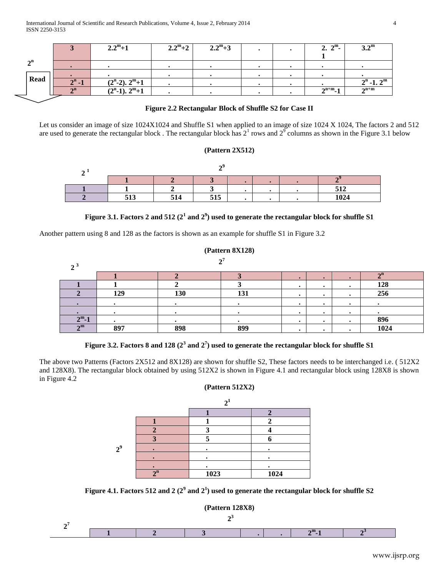|                |                | $2.2^m+1$         | $2.2^{\rm m}+2$ | $2.2^m+3$ |  | $2.2^{\rm m}$ .    | $3.2^{\mathrm{m}}$                        |
|----------------|----------------|-------------------|-----------------|-----------|--|--------------------|-------------------------------------------|
| $\mathbf{A}$ n |                |                   |                 |           |  |                    |                                           |
|                |                |                   |                 |           |  |                    |                                           |
|                |                |                   |                 |           |  |                    |                                           |
| <b>Read</b>    | $2^n - 1$      | $(2n-2)$ , $2m+1$ |                 |           |  |                    | $2^n$ -1. $2^m$                           |
|                | $\mathbf{A}$ n | $(2n-1)$ , $2m+1$ |                 |           |  | $2^{n+m} - 1$<br>4 | $\mathbf{\Delta}^{\mathbf{n}+\mathbf{m}}$ |

# **Figure 2.2 Rectangular Block of Shuffle S2 for Case II**

Let us consider an image of size 1024X1024 and Shuffle S1 when applied to an image of size 1024 X 1024, The factors 2 and 512 are used to generate the rectangular block. The rectangular block has  $2^1$  rows and  $2^9$  columns as shown in the Figure 3.1 below

## **(Pattern 2X512)**

|           |                      |     | ٠ |  |  |      |  |  |  |  |
|-----------|----------------------|-----|---|--|--|------|--|--|--|--|
|           |                      |     |   |  |  | E10  |  |  |  |  |
| . .<br>ັ້ | E 1 <i>1</i><br>ັບມາ | 515 |   |  |  | 1024 |  |  |  |  |

# Figure 3.1. Factors 2 and 512  $(2^1 \text{ and } 2^9)$  used to generate the rectangular block for shuffle S1

Another pattern using 8 and 128 as the factors is shown as an example for shuffle S1 in Figure 3.2

|                | (Pattern 8X128)     |     |     |   |           |           |              |  |  |  |  |
|----------------|---------------------|-----|-----|---|-----------|-----------|--------------|--|--|--|--|
| 2 <sup>3</sup> | $\sim$ <sup>7</sup> |     |     |   |           |           |              |  |  |  |  |
|                |                     |     |     |   | $\bullet$ |           | $\mathbf{a}$ |  |  |  |  |
|                |                     |     |     |   | $\bullet$ |           | 128          |  |  |  |  |
|                | 129                 | 130 | 131 |   | $\bullet$ |           | 256          |  |  |  |  |
|                |                     |     |     | ٠ | $\bullet$ | $\bullet$ |              |  |  |  |  |
|                |                     |     |     |   | $\bullet$ |           |              |  |  |  |  |
| $2^m-1$        |                     |     |     |   | $\bullet$ |           | 896          |  |  |  |  |
| $\gamma$ m     | 897                 | 898 | 899 |   |           |           | 1024         |  |  |  |  |

Figure 3.2. Factors 8 and 128  $(2^3 \text{ and } 2^7)$  used to generate the rectangular block for shuffle S1

The above two Patterns (Factors 2X512 and 8X128) are shown for shuffle S2, These factors needs to be interchanged i.e. ( 512X2 and 128X8). The rectangular block obtained by using 512X2 is shown in Figure 4.1 and rectangular block using 128X8 is shown in Figure 4.2

**(Pattern 512X2)**

| $2^9$ |              |      |      |
|-------|--------------|------|------|
|       |              |      |      |
|       |              |      |      |
|       | $\mathbf{a}$ | 1023 | 1024 |

Figure 4.1. Factors 512 and 2  $(2^9 \text{ and } 2^1)$  used to generate the rectangular block for shuffle S2

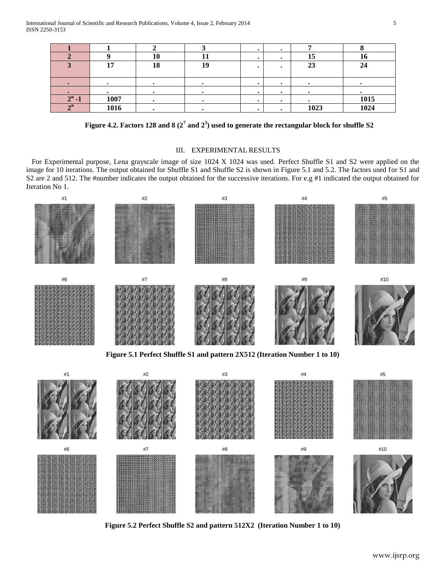|              |      | 10 |    |  | --   | ιv   |
|--------------|------|----|----|--|------|------|
|              | 17   | 18 | 19 |  | 23   | 24   |
|              |      |    |    |  |      |      |
|              |      |    |    |  |      |      |
|              |      |    |    |  |      |      |
| $2^n - 1$    | 1007 |    |    |  |      | 1015 |
| $\mathbf{a}$ | 1016 |    |    |  | 1023 | 1024 |

Figure 4.2. Factors 128 and 8  $(2^7 \text{ and } 2^3)$  used to generate the rectangular block for shuffle S2

# III. EXPERIMENTAL RESULTS

 For Experimental purpose, Lena grayscale image of size 1024 X 1024 was used. Perfect Shuffle S1 and S2 were applied on the image for 10 iterations. The output obtained for Shuffle S1 and Shuffle S2 is shown in Figure 5.1 and 5.2. The factors used for S1 and S2 are 2 and 512. The #number indicates the output obtained for the successive iterations. For e.g #1 indicated the output obtained for Iteration No 1.



**Figure 5.1 Perfect Shuffle S1 and pattern 2X512 (Iteration Number 1 to 10)**

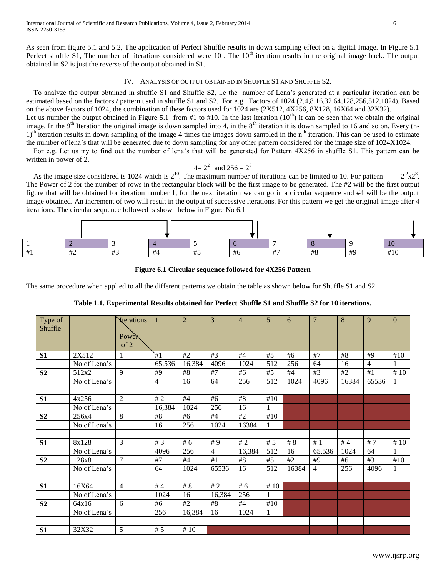As seen from figure 5.1 and 5.2, The application of Perfect Shuffle results in down sampling effect on a digital Image. In Figure 5.1 Perfect shuffle S1, The number of iterations considered were  $10$ . The  $10<sup>th</sup>$  iteration results in the original image back. The output obtained in S2 is just the reverse of the output obtained in S1.

## IV. ANALYSIS OF OUTPUT OBTAINED IN SHUFFLE S1 AND SHUFFLE S2.

 To analyze the output obtained in shuffle S1 and Shuffle S2, i.e the number of Lena's generated at a particular iteration can be estimated based on the factors / pattern used in shuffle S1 and S2. For e.g Factors of 1024 **(**2,4,8,16,32,64,128,256,512,1024). Based on the above factors of 1024, the combination of these factors used for 1024 are (2X512, 4X256, 8X128, 16X64 and 32X32). Let us number the output obtained in Figure 5.1 from #1 to #10. In the last iteration  $(10<sup>th</sup>)$  it can be seen that we obtain the original image. In the 9<sup>th</sup> Iteration the original image is down sampled into 4, in the 8<sup>th</sup> iteration it is down sampled to 16 and so on. Every (n-1)<sup>th</sup> iteration results in down sampling of the image 4 times the images down sampled in the n<sup>th</sup> iteration. This can be used to estimate

the number of lena's that will be generated due to down sampling for any other pattern considered for the image size of 1024X1024. For e.g. Let us try to find out the number of lena's that will be generated for Pattern 4X256 in shuffle S1. This pattern can be written in power of 2.

 $4=2^2$  and  $256=2^8$ 

As the image size considered is 1024 which is  $2^{10}$ . The maximum number of iterations can be limited to 10. For pattern  $2^8$ <sub>x2</sub><sup>8</sup>. The Power of 2 for the number of rows in the rectangular block will be the first image to be generated. The #2 will be the first output figure that will be obtained for iteration number 1, for the next iteration we can go in a circular sequence and #4 will be the output image obtained. An increment of two will result in the output of successive iterations. For this pattern we get the original image after 4 iterations. The circular sequence followed is shown below in Figure No 6.1

| $+^{\circ}$ | $\overline{\phantom{a}}$<br>$\pi$ | $\overline{\phantom{a}}$<br>π. | +<br>$+$ | $\cdots$<br>$\pi$ J | . | $\overline{\phantom{0}}$ | $\overline{110}$<br>#ð | $H\Omega$ | $\cdots$ |  |
|-------------|-----------------------------------|--------------------------------|----------|---------------------|---|--------------------------|------------------------|-----------|----------|--|

## **Figure 6.1 Circular sequence followed for 4X256 Pattern**

The same procedure when applied to all the different patterns we obtain the table as shown below for Shuffle S1 and S2.

| Type of<br>Shuffle |              | <b>Xterations</b><br>Power<br>of 2 |                | $\overline{2}$ | 3              | $\overline{4}$ | 5     | 6     | 7              | 8     | 9              | $\mathbf{0}$ |
|--------------------|--------------|------------------------------------|----------------|----------------|----------------|----------------|-------|-------|----------------|-------|----------------|--------------|
| S1                 | 2X512        | 1                                  | `#1            | #2             | #3             | #4             | #5    | #6    | #7             | #8    | #9             | #10          |
|                    | No of Lena's |                                    | 65,536         | 16,384         | 4096           | 1024           | 512   | 256   | 64             | 16    | $\overline{4}$ |              |
| S <sub>2</sub>     | 512x2        | 9                                  | #9             | #8             | #7             | #6             | #5    | #4    | #3             | #2    | #1             | #10          |
|                    | No of Lena's |                                    | $\overline{4}$ | 16             | 64             | 256            | 512   | 1024  | 4096           | 16384 | 65536          |              |
|                    |              |                                    |                |                |                |                |       |       |                |       |                |              |
| S1                 | 4x256        | $\overline{2}$                     | #2             | #4             | #6             | #8             | #10   |       |                |       |                |              |
|                    | No of Lena's |                                    | 16,384         | 1024           | 256            | 16             | 1     |       |                |       |                |              |
| S <sub>2</sub>     | 256x4        | 8                                  | #8             | #6             | #4             | #2             | #10   |       |                |       |                |              |
|                    | No of Lena's |                                    | 16             | 256            | 1024           | 16384          | 1     |       |                |       |                |              |
|                    |              |                                    |                |                |                |                |       |       |                |       |                |              |
| S1                 | 8x128        | 3                                  | #3             | #6             | #9             | #2             | # $5$ | # $8$ | #1             | #4    | #7             | #10          |
|                    | No of Lena's |                                    | 4096           | 256            | $\overline{4}$ | 16,384         | 512   | 16    | 65,536         | 1024  | 64             |              |
| S <sub>2</sub>     | 128x8        | $\tau$                             | #7             | #4             | #1             | #8             | #5    | #2    | #9             | #6    | #3             | #10          |
|                    | No of Lena's |                                    | 64             | 1024           | 65536          | 16             | 512   | 16384 | $\overline{4}$ | 256   | 4096           | 1            |
|                    |              |                                    |                |                |                |                |       |       |                |       |                |              |
| S1                 | 16X64        | $\overline{4}$                     | # $4$          | $\#$ 8         | #2             | #6             | #10   |       |                |       |                |              |
|                    | No of Lena's |                                    | 1024           | 16             | 16,384         | 256            | 1     |       |                |       |                |              |
| S <sub>2</sub>     | 64x16        | 6                                  | #6             | #2             | #8             | #4             | #10   |       |                |       |                |              |
|                    | No of Lena's |                                    | 256            | 16,384         | 16             | 1024           | 1     |       |                |       |                |              |
|                    |              |                                    |                |                |                |                |       |       |                |       |                |              |
| S1                 | 32X32        | 5                                  | #5             | #10            |                |                |       |       |                |       |                |              |

**Table 1.1. Experimental Results obtained for Perfect Shuffle S1 and Shuffle S2 for 10 iterations.**